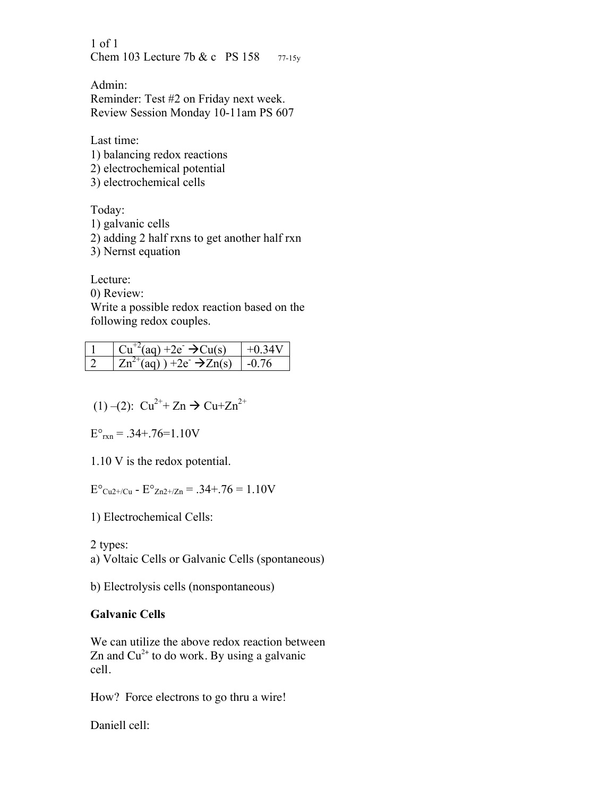1 of 1 Chem 103 Lecture 7b & c PS 158 77-15y

Admin: Reminder: Test #2 on Friday next week. Review Session Monday 10-11am PS 607

Last time: 1) balancing redox reactions 2) electrochemical potential 3) electrochemical cells

Today: 1) galvanic cells 2) adding 2 half rxns to get another half rxn 3) Nernst equation

Lecture:

0) Review:

Write a possible redox reaction based on the following redox couples.

| $\rightarrow$ (aq) +2e $\rightarrow$ Cu(s) |     |
|--------------------------------------------|-----|
| $Zn^2$ (ag) ) +2e $\rightarrow$ Zn(s)      | -01 |

(1) –(2):  $Cu^{2+} + Zn \rightarrow Cu+Zn^{2+}$ 

 $E^{\circ}_{rxn} = .34+.76=1.10V$ 

1.10 V is the redox potential.

 $E^{\circ}$ <sub>Cu2+/Cu</sub> -  $E^{\circ}$ <sub>Zn2+/Zn</sub> = .34+.76 = 1.10V

1) Electrochemical Cells:

2 types:

a) Voltaic Cells or Galvanic Cells (spontaneous)

b) Electrolysis cells (nonspontaneous)

## **Galvanic Cells**

We can utilize the above redox reaction between Zn and  $Cu^{2+}$  to do work. By using a galvanic cell.

How? Force electrons to go thru a wire!

Daniell cell: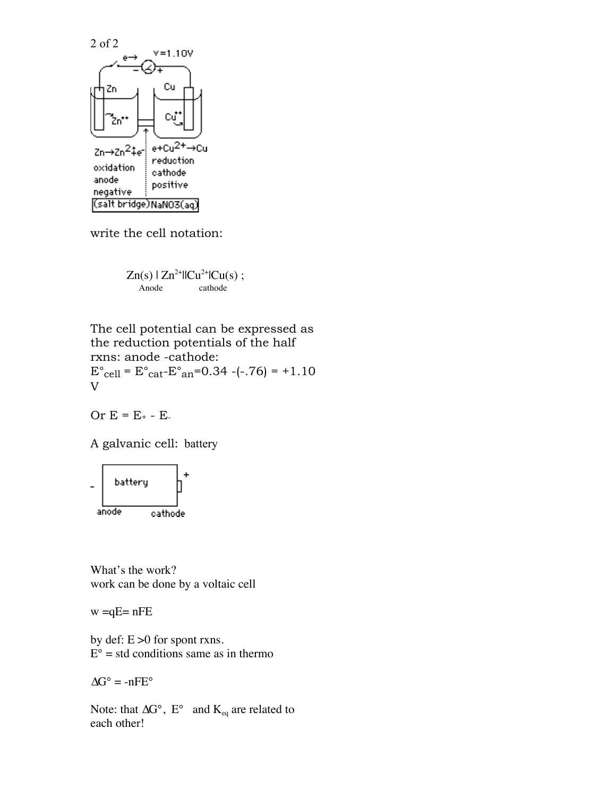

write the cell notation:

$$
Zn(s) | Zn^{2+}l|Cu^{2+}lCu(s) ;
$$
  
Ande  
 cathode

The cell potential can be expressed as the reduction potentials of the half rxns: anode -cathode:  $E^{\circ}$ <sub>cell</sub> =  $E^{\circ}$ <sub>cat</sub>- $E^{\circ}$ <sub>an</sub>=0.34 -(-.76) = +1.10 V

Or  $E = E_+ - E_-$ 

A galvanic cell: battery



What's the work? work can be done by a voltaic cell

 $w = qE = nFE$ 

by def: E >0 for spont rxns.  $E^{\circ}$  = std conditions same as in thermo

 $\Delta G^{\circ} = -nFE^{\circ}$ 

Note: that  $\Delta G^{\circ}$ , E° and K<sub>eq</sub> are related to each other!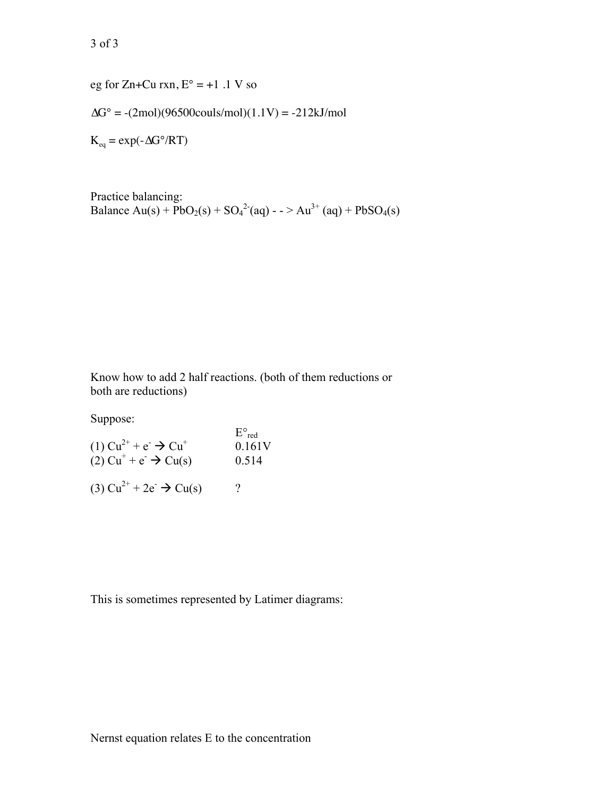eg for Zn+Cu rxn,  $E^{\circ} = +1$  .1 V so

 $\Delta G^{\circ} = -(2mol)(96500 \text{cously/mol})(1.1 \text{V}) = -212 \text{kJ/mol}$ 

 $K_{eq} = exp(-\Delta G^{\circ}/RT)$ 

Practice balancing: Balance  $Au(s) + PbO_2(s) + SO_4^{2-}(aq) - SIA^{3+}(aq) + PbSO_4(s)$ 

Know how to add 2 half reactions. (both of them reductions or both are reductions)

Suppose:

| (1) $Cu^{2+} + e^{-} \rightarrow Cu^{+}$<br>$(2) Cu^+ + e^- \rightarrow Cu(s)$ | $E^{\circ}$ <sub>red</sub><br>0.161V<br>0.514 |
|--------------------------------------------------------------------------------|-----------------------------------------------|
| (3) $Cu^{2+} + 2e^ \rightarrow$ $Cu(s)$                                        | 9                                             |

This is sometimes represented by Latimer diagrams: